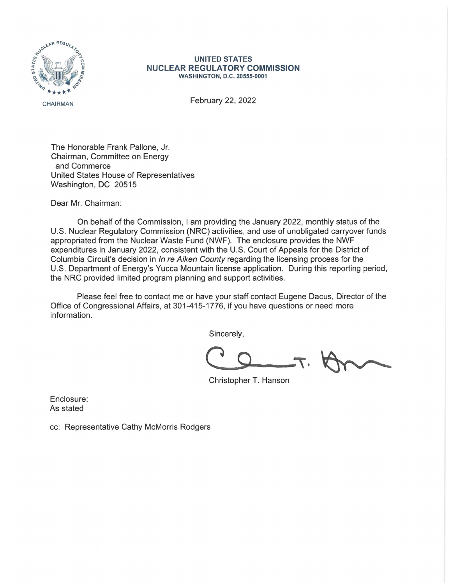

## **UNITED STATES NUCLEAR REGULATORY COMMISSION WASHINGTON, D.C. 20555-0001**

February 22, 2022

The Honorable Frank Pallone, Jr. Chairman, Committee on Energy and Commerce United States House of Representatives Washington, DC 20515

Dear Mr. Chairman:

On behalf of the Commission, I am providing the January 2022, monthly status of the U.S. Nuclear Regulatory Commission (NRC) activities, and use of unobligated carryover funds appropriated from the Nuclear Waste Fund (NWF). The enclosure provides the NWF expenditures in January 2022, consistent with the U.S. Court of Appeals for the District of Columbia Circuit's decision in In re Aiken County regarding the licensing process for the U.S. Department of Energy's Yucca Mountain license application. During this reporting period, the NRC provided limited program planning and support activities.

Please feel free to contact me or have your staff contact Eugene Dacus, Director of the Office of Congressional Affairs, at 301-415-1776, if you have questions or need more information.

Sincerely,

Christopher T. Hanson

Enclosure: As stated

cc: Representative Cathy McMorris Rodgers